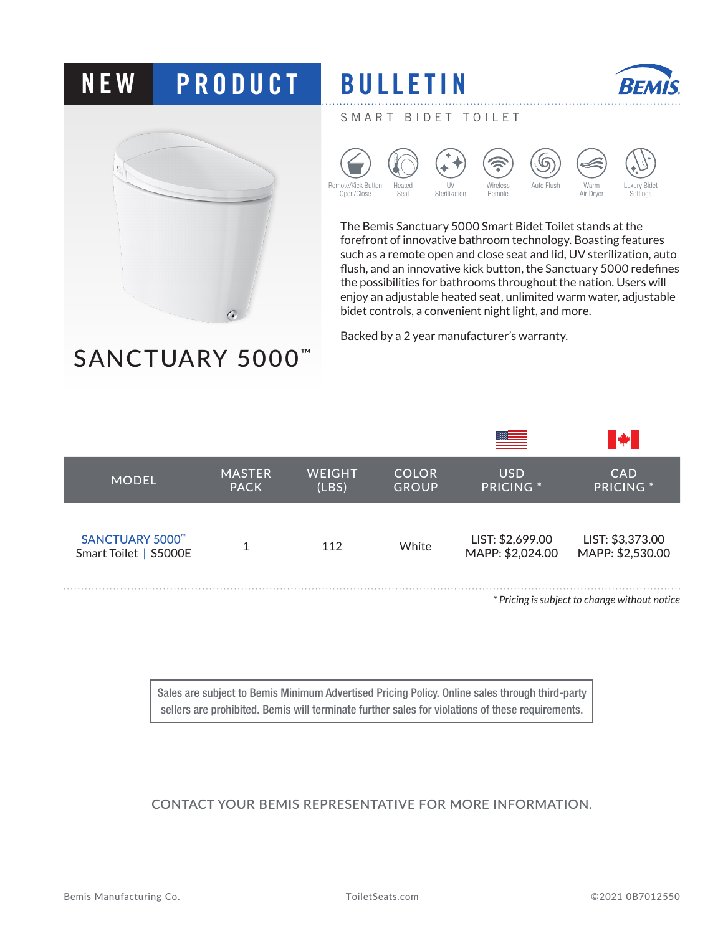## **NEW PRODUCT BULLETIN**



SANCTUARY 5000<sup>™</sup>



SMART BIDET TOILET



The Bemis Sanctuary 5000 Smart Bidet Toilet stands at the forefront of innovative bathroom technology. Boasting features such as a remote open and close seat and lid, UV sterilization, auto flush, and an innovative kick button, the Sanctuary 5000 redefines the possibilities for bathrooms throughout the nation. Users will enjoy an adjustable heated seat, unlimited warm water, adjustable bidet controls, a convenient night light, and more.

Backed by a 2 year manufacturer's warranty.

|                                         |                              |                        |                              |                                      | <b>W</b>                                      |
|-----------------------------------------|------------------------------|------------------------|------------------------------|--------------------------------------|-----------------------------------------------|
| <b>MODEL</b>                            | <b>MASTER</b><br><b>PACK</b> | <b>WEIGHT</b><br>(LBS) | <b>COLOR</b><br><b>GROUP</b> | <b>USD</b><br><b>PRICING</b> *       | <b>CAD</b><br><b>PRICING</b> *                |
| SANCTUARY 5000<br>Smart Toilet   S5000E | 4                            | 112                    | White                        | LIST: \$2,699.00<br>MAPP: \$2,024.00 | LIST: \$3,373.00<br>MAPP: \$2,530.00          |
|                                         |                              |                        |                              |                                      | * Pricing is subject to change without notice |

Sales are subject to Bemis Minimum Advertised Pricing Policy. Online sales through third-party sellers are prohibited. Bemis will terminate further sales for violations of these requirements.

**CONTACT YOUR BEMIS REPRESENTATIVE FOR MORE INFORMATION.**